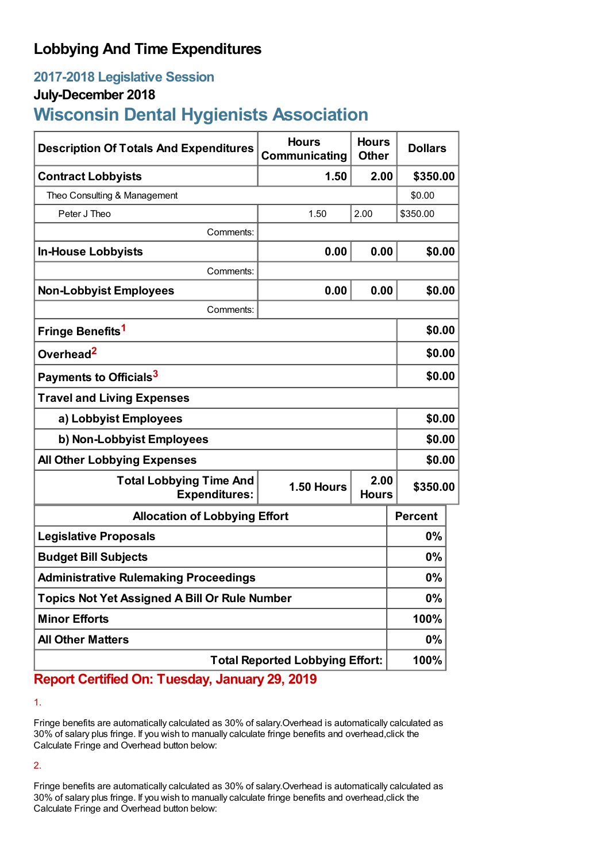## **Lobbying And Time Expenditures**

## **2017-2018 Legislative Session**

### **July-December 2018**

# **Wisconsin Dental Hygienists Association**

| <b>Description Of Totals And Expenditures</b>          | <b>Hours</b><br>Communicating | <b>Hours</b><br><b>Other</b> | <b>Dollars</b> |  |
|--------------------------------------------------------|-------------------------------|------------------------------|----------------|--|
| <b>Contract Lobbyists</b>                              | 1.50                          | 2.00                         | \$350.00       |  |
| Theo Consulting & Management                           |                               |                              | \$0.00         |  |
| Peter J Theo                                           | 1.50                          | 2.00                         | \$350.00       |  |
| Comments:                                              |                               |                              |                |  |
| <b>In-House Lobbyists</b>                              | 0.00                          | 0.00                         | \$0.00         |  |
| Comments:                                              |                               |                              |                |  |
| <b>Non-Lobbyist Employees</b>                          | 0.00                          | 0.00                         | \$0.00         |  |
| Comments:                                              |                               |                              |                |  |
| Fringe Benefits <sup>1</sup>                           |                               |                              | \$0.00         |  |
| Overhead <sup>2</sup>                                  |                               |                              | \$0.00         |  |
| Payments to Officials <sup>3</sup>                     |                               |                              | \$0.00         |  |
| <b>Travel and Living Expenses</b>                      |                               |                              |                |  |
| a) Lobbyist Employees                                  |                               |                              | \$0.00         |  |
| b) Non-Lobbyist Employees                              |                               |                              | \$0.00         |  |
| <b>All Other Lobbying Expenses</b>                     |                               |                              | \$0.00         |  |
| <b>Total Lobbying Time And</b><br><b>Expenditures:</b> | 1.50 Hours                    | 2.00<br><b>Hours</b>         | \$350.00       |  |
| <b>Allocation of Lobbying Effort</b>                   |                               |                              | <b>Percent</b> |  |
| <b>Legislative Proposals</b>                           |                               |                              | $0\%$          |  |
| <b>Budget Bill Subjects</b>                            |                               |                              | $0\%$          |  |
| <b>Administrative Rulemaking Proceedings</b>           |                               |                              | 0%             |  |
| <b>Topics Not Yet Assigned A Bill Or Rule Number</b>   |                               |                              | 0%             |  |
| <b>Minor Efforts</b>                                   |                               |                              | 100%           |  |
| <b>All Other Matters</b>                               |                               |                              | $0\%$          |  |
| <b>Total Reported Lobbying Effort:</b>                 |                               |                              | 100%           |  |

## **Report Certified On: Tuesday, January 29, 2019**

1.

Fringe benefits are automatically calculated as 30% of salary.Overhead is automatically calculated as 30% of salary plus fringe. If you wish to manually calculate fringe benefits and overhead,click the Calculate Fringe and Overhead button below:

2.

Fringe benefits are automatically calculated as 30% of salary.Overhead is automatically calculated as 30% of salary plus fringe. If you wish to manually calculate fringe benefits and overhead,click the Calculate Fringe and Overhead button below: